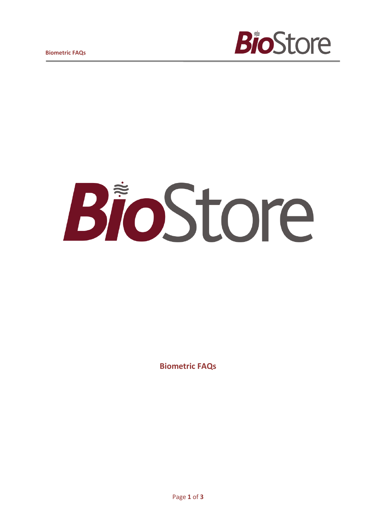



**Biometric FAQs**

Page **1** of **3**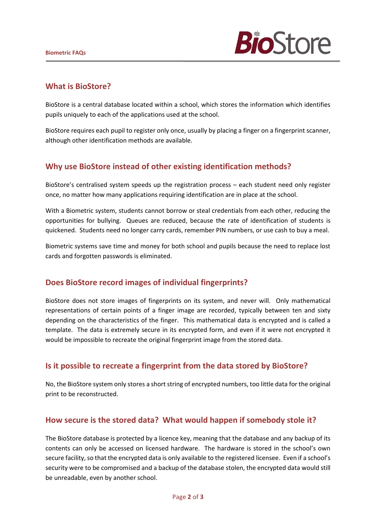

#### **What is BioStore?**

BioStore is a central database located within a school, which stores the information which identifies pupils uniquely to each of the applications used at the school.

BioStore requires each pupil to register only once, usually by placing a finger on a fingerprint scanner, although other identification methods are available.

### **Why use BioStore instead of other existing identification methods?**

BioStore's centralised system speeds up the registration process – each student need only register once, no matter how many applications requiring identification are in place at the school.

With a Biometric system, students cannot borrow or steal credentials from each other, reducing the opportunities for bullying. Queues are reduced, because the rate of identification of students is quickened. Students need no longer carry cards, remember PIN numbers, or use cash to buy a meal.

Biometric systems save time and money for both school and pupils because the need to replace lost cards and forgotten passwords is eliminated.

### **Does BioStore record images of individual fingerprints?**

BioStore does not store images of fingerprints on its system, and never will. Only mathematical representations of certain points of a finger image are recorded, typically between ten and sixty depending on the characteristics of the finger. This mathematical data is encrypted and is called a template. The data is extremely secure in its encrypted form, and even if it were not encrypted it would be impossible to recreate the original fingerprint image from the stored data.

### **Is it possible to recreate a fingerprint from the data stored by BioStore?**

No, the BioStore system only stores a short string of encrypted numbers, too little data for the original print to be reconstructed.

### **How secure is the stored data? What would happen if somebody stole it?**

The BioStore database is protected by a licence key, meaning that the database and any backup of its contents can only be accessed on licensed hardware. The hardware is stored in the school's own secure facility, so that the encrypted data is only available to the registered licensee. Even if a school's security were to be compromised and a backup of the database stolen, the encrypted data would still be unreadable, even by another school.